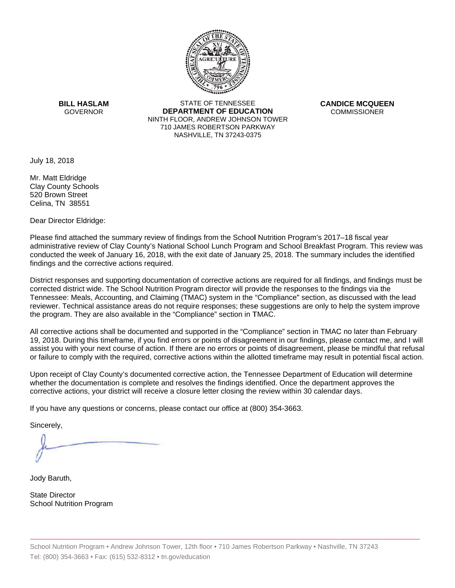

**BILL HASLAM** GOVERNOR **DEI** 

STATE OF TENNESSEE **EPARTMENT OF EDUCATION** NINTH FLOOR, ANDREW JOHNSON TOWER 710 JAMES ROBERTSON PARKWAY NASHVILLE,TN 37243-0375

**CANDICE MCQUEEN** CO OMMISSIONER

July 18, 2018

Mr. Matt Eldridge Clay County Schools 520 Brown Street Celina, TN 38551

Dear Director Eldridge:

Please find attached the summary review of findings from the School Nutrition Program's 2017–18 fiscal year administrative review of Clay County's National School Lunch Program and School Breakfast Program. This review was conducted the week of January 16, 2018, with the exit date of January 25, 2018. The summary includes the identified findings and the corrective actions required.

Tennessee: Meals, Accounting, and Claiming (TMAC) system in the "Compliance" section, as discussed with the lead District responses and supporting documentation of corrective actions are required for all findings, and findings must be corrected district wide. The School Nutrition Program director will provide the responses to the findings via the reviewer. Technical assistance areas do not require responses; these suggestions are only to help the system improve the program. They are also available in the "Compliance" section in TMAC.

All corrective actions shall be documented and supported in the "Compliance" section in TMAC no later than February 19, 2018. During this timeframe, if you find errors or points of disagreement in our findings, please contact me, and I will assist you with your next course of action. If there are no errors or points of disagreement, please be mindful that refusal or failure to comply with the required, corrective actions within the allotted timeframe may result in potential fiscal action.

Upon receipt of Clay County's documented corrective action, the Tennessee Department of Education will determine whether the documentation is complete and resolves the findings identified. Once the department approves the corrective actions, your district will receive a closure letter closing the review within 30 calendar days.

If you have any questions or concerns, please contact our office at (800) 354-3663.

Sincerely,

Jody Baruth,

State Director School Nutrition Program